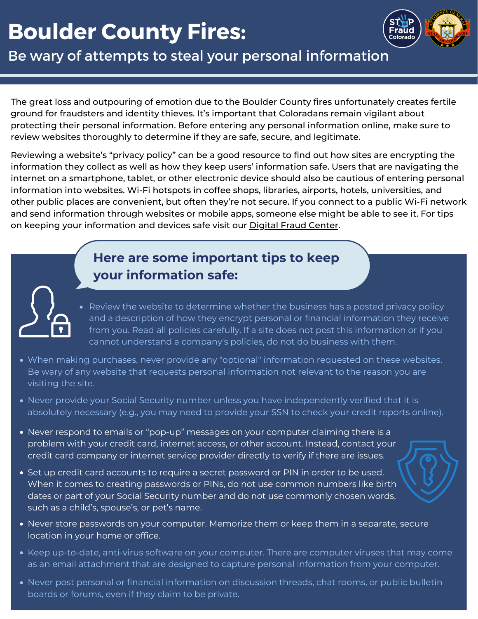# **Boulder County Fires:**



Be wary of attempts to steal your personal information

The great loss and outpouring of emotion due to the Boulder County fires unfortunately creates fertile ground for fraudsters and identity thieves. It's important that Coloradans remain vigilant about protecting their personal information. Before entering any personal information online, make sure to review websites thoroughly to determine if they are safe, secure, and legitimate.

Reviewing a website's "privacy policy" can be a good resource to find out how sites are encrypting the information they collect as well as how they keep users' information safe. Users that are navigating the Ask the contractor to provide you with references from prior customers and contact information into websites. Wi-Fi hotspots in coffee shops, libraries, airports, hotels, universities, and other public places are convenient, but often they're not secure. If you connect to a public Wi-Fi network internet on a smartphone, tablet, or other electronic device should also be cautious of entering personal and send information through websites or mobile apps, someone else might be able to see it. For tips on keeping your information and devices safe visit our Digital Fraud [Center.](https://stopfraudcolorado.gov/fraud-center/digital-fraud.html)

### **Here are some important tips to keep your information safe:**

Review the website to determine whether the business has a posted privacy policy and a description of how they encrypt personal or financial information they receive from you. Read all policies carefully. If a site does not post this information or if you cannot understand a company's policies, do not do business with them.

- When making purchases, never provide any "optional" information requested on these websites. Be wary of any website that requests personal information not relevant to the reason you are visiting the site.
- Never provide your Social Security number unless you have independently verified that it is absolutely necessary (e.g., you may need to provide your SSN to check your credit reports online).
- Never respond to emails or "pop-up" messages on your computer claiming there is a problem with your credit card, internet access, or other account. Instead, contact your credit card company or internet service provider directly to verify if there are issues.
- Set up credit card accounts to require a secret password or PIN in order to be used. When it comes to creating passwords or PINs, do not use common numbers like birth dates or part of your Social Security number and do not use commonly chosen words, such as a child's, spouse's, or pet's name.
- Never store passwords on your computer. Memorize them or keep them in a separate, secure location in your home or office.
- Keep up-to-date, anti-virus software on your computer. There are computer viruses that may come as an email attachment that are designed to capture personal information from your computer.
- Never post personal or financial information on discussion threads, chat rooms, or public bulletin boards or forums, even if they claim to be private.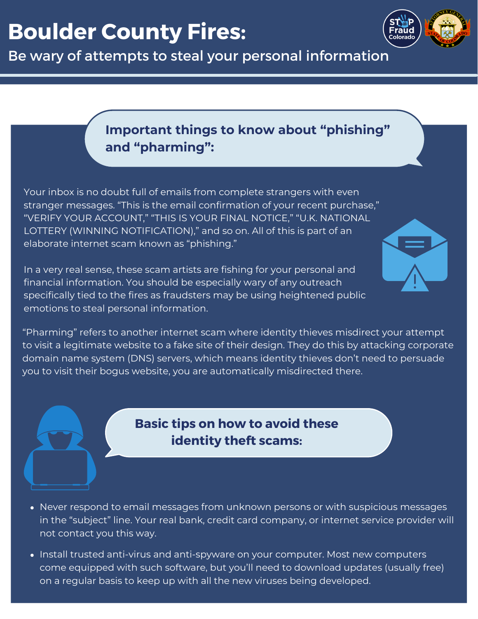



## **Important things to know about "phishing" and "pharming":**

Your inbox is no doubt full of emails from complete strangers with even stranger messages. "This is the email confirmation of your recent purchase," "VERIFY YOUR ACCOUNT," "THIS IS YOUR FINAL NOTICE," "U.K. NATIONAL LOTTERY (WINNING NOTIFICATION)," and so on. All of this is part of an elaborate internet scam known as "phishing."

In a very real sense, these scam artists are fishing for your personal and financial information. You should be especially wary of any outreach specifically tied to the fires as fraudsters may be using heightened public emotions to steal personal information.



"Pharming" refers to another internet scam where identity thieves misdirect your attempt to visit a legitimate website to a fake site of their design. They do this by attacking corporate domain name system (DNS) servers, which means identity thieves don't need to persuade you to visit their bogus website, you are automatically misdirected there.

### **Basic tips on how to avoid these identity theft scams:**

- Never respond to email messages from unknown persons or with suspicious messages in the "subject" line. Your real bank, credit card company, or internet service provider will not contact you this way.
- Install trusted anti-virus and anti-spyware on your computer. Most new computers come equipped with such software, but you'll need to download updates (usually free) on a regular basis to keep up with all the new viruses being developed.